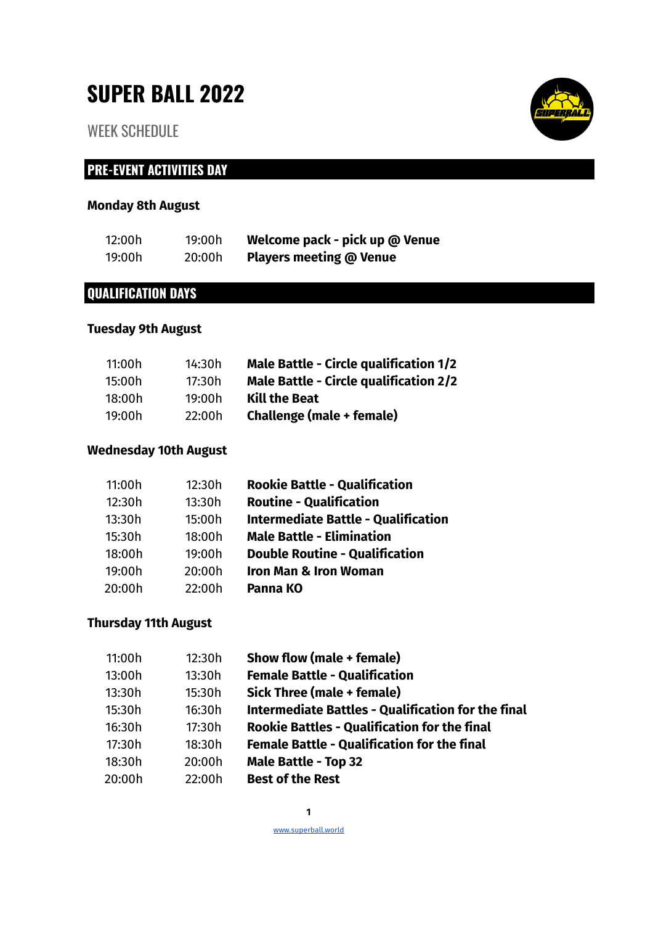# **SUPER BALL 2022**

WEEK SCHEDULE

# **PRE-EVENT ACTIVITIES DAY**

## **Monday 8th August**

| 12:00h | 19:00h | Welcome pack - pick up @ Venue |
|--------|--------|--------------------------------|
| 19:00h | 20:00h | <b>Players meeting @ Venue</b> |

## **QUALIFICATION DAYS**

#### **Tuesday 9th August**

| 11:00h | 14:30h | <b>Male Battle - Circle qualification 1/2</b> |
|--------|--------|-----------------------------------------------|
| 15:00h | 17:30h | <b>Male Battle - Circle qualification 2/2</b> |
| 18:00h | 19:00h | <b>Kill the Beat</b>                          |
| 19:00h | 22:00h | Challenge (male + female)                     |

#### **Wednesday 10th August**

| 11:00h | 12:30h | <b>Rookie Battle - Qualification</b>       |
|--------|--------|--------------------------------------------|
| 12:30h | 13:30h | <b>Routine - Qualification</b>             |
| 13:30h | 15:00h | <b>Intermediate Battle - Qualification</b> |
| 15:30h | 18:00h | <b>Male Battle - Elimination</b>           |
| 18:00h | 19:00h | <b>Double Routine - Qualification</b>      |
| 19:00h | 20:00h | <b>Iron Man &amp; Iron Woman</b>           |
| 20:00h | 22:00h | Panna KO                                   |

#### **Thursday 11th August**

| 11:00h | 12:30h | Show flow (male + female)                                 |
|--------|--------|-----------------------------------------------------------|
| 13:00h | 13:30h | <b>Female Battle - Qualification</b>                      |
| 13:30h | 15:30h | Sick Three (male + female)                                |
| 15:30h | 16:30h | <b>Intermediate Battles - Qualification for the final</b> |
| 16:30h | 17:30h | <b>Rookie Battles - Qualification for the final</b>       |
| 17:30h | 18:30h | <b>Female Battle - Qualification for the final</b>        |
| 18:30h | 20:00h | <b>Male Battle - Top 32</b>                               |
| 20:00h | 22:00h | <b>Best of the Rest</b>                                   |



www.superball.world